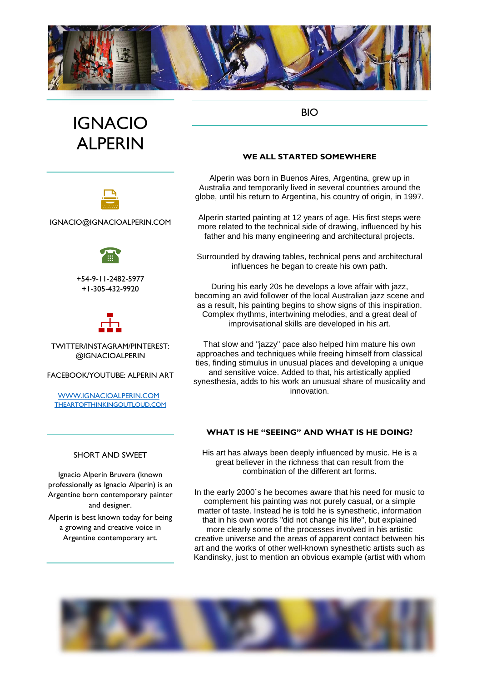

# BIO

# IGNACIO ALPERIN



IGNACIO@IGNACIOALPERIN.COM

+54-9-11-2482-5977 +1-305-432-9920



TWITTER/INSTAGRAM/PINTEREST: @IGNACIOALPERIN

FACEBOOK/YOUTUBE: ALPERIN ART

[WWW.IGNACIOALPERIN.COM](http://www.ignacioalperin.com/) [THEARTOFTHINKINGOUTLOUD.COM](http://www.theartofthinkingoutloud.com/)

### SHORT AND SWEET

Ignacio Alperin Bruvera (known professionally as Ignacio Alperin) is an Argentine born contemporary painter and designer.

Alperin is best known today for being a growing and creative voice in Argentine contemporary art.

## **WE ALL STARTED SOMEWHERE**

Alperin was born in Buenos Aires, Argentina, grew up in Australia and temporarily lived in several countries around the globe, until his return to Argentina, his country of origin, in 1997.

Alperin started painting at 12 years of age. His first steps were more related to the technical side of drawing, influenced by his father and his many engineering and architectural projects.

Surrounded by drawing tables, technical pens and architectural influences he began to create his own path.

During his early 20s he develops a love affair with jazz, becoming an avid follower of the local Australian jazz scene and as a result, his painting begins to show signs of this inspiration. Complex rhythms, intertwining melodies, and a great deal of improvisational skills are developed in his art.

That slow and "jazzy" pace also helped him mature his own approaches and techniques while freeing himself from classical ties, finding stimulus in unusual places and developing a unique and sensitive voice. Added to that, his artistically applied synesthesia, adds to his work an unusual share of musicality and innovation.

# **WHAT IS HE "SEEING" AND WHAT IS HE DOING?**

His art has always been deeply influenced by music. He is a great believer in the richness that can result from the combination of the different art forms.

In the early 2000´s he becomes aware that his need for music to complement his painting was not purely casual, or a simple matter of taste. Instead he is told he is synesthetic, information that in his own words "did not change his life", but explained more clearly some of the processes involved in his artistic creative universe and the areas of apparent contact between his art and the works of other well-known synesthetic artists such as Kandinsky, just to mention an obvious example (artist with whom

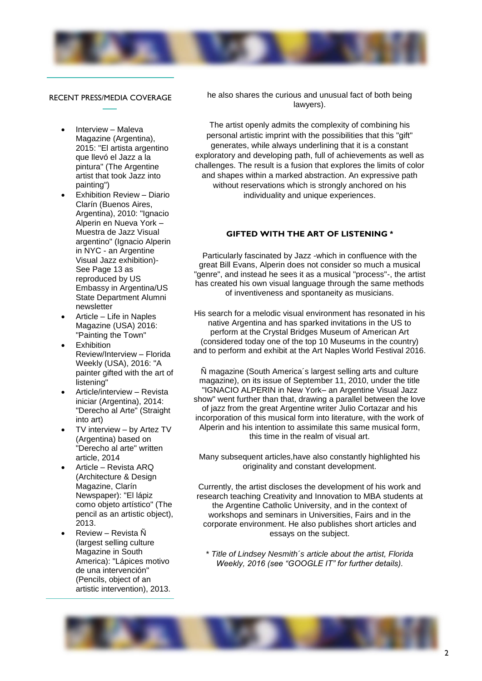

#### RECENT PRESS/MEDIA COVERAGE

- Interview Maleva Magazine (Argentina). 2015: "El artista argentino que llevó el Jazz a la pintura" (The Argentine artist that took Jazz into painting")
- Exhibition Review Diario Clarín (Buenos Aires, Argentina), 2010: "Ignacio Alperin en Nueva York – Muestra de Jazz Visual argentino" (Ignacio Alperin in NYC - an Argentine Visual Jazz exhibition)- See Page 13 as reproduced by US Embassy in Argentina/US State Department Alumni newsletter
- Article Life in Naples Magazine (USA) 2016: "Painting the Town"
- **Exhibition** Review/Interview – Florida Weekly (USA), 2016: "A painter gifted with the art of listening"
- Article/interview Revista iniciar (Argentina), 2014: "Derecho al Arte" (Straight into art)
- TV interview by Artez TV (Argentina) based on "Derecho al arte" written article, 2014
- Article Revista ARQ (Architecture & Design Magazine, Clarín Newspaper): "El lápiz como objeto artístico" (The pencil as an artistic object), 2013.
- Review Revista Ñ (largest selling culture Magazine in South America): "Lápices motivo de una intervención" (Pencils, object of an artistic intervention), 2013.

he also shares the curious and unusual fact of both being lawyers).

The artist openly admits the complexity of combining his personal artistic imprint with the possibilities that this "gift" generates, while always underlining that it is a constant exploratory and developing path, full of achievements as well as challenges. The result is a fusion that explores the limits of color and shapes within a marked abstraction. An expressive path without reservations which is strongly anchored on his individuality and unique experiences.

#### **GIFTED WITH THE ART OF LISTENING \***

Particularly fascinated by Jazz -which in confluence with the great Bill Evans, Alperin does not consider so much a musical "genre", and instead he sees it as a musical "process"-, the artist has created his own visual language through the same methods of inventiveness and spontaneity as musicians.

His search for a melodic visual environment has resonated in his native Argentina and has sparked invitations in the US to perform at the Crystal Bridges Museum of American Art (considered today one of the top 10 Museums in the country) and to perform and exhibit at the Art Naples World Festival 2016.

Ñ magazine (South America´s largest selling arts and culture magazine), on its issue of September 11, 2010, under the title "IGNACIO ALPERIN in New York– an Argentine Visual Jazz show" went further than that, drawing a parallel between the love of jazz from the great Argentine writer Julio Cortazar and his incorporation of this musical form into literature, with the work of Alperin and his intention to assimilate this same musical form, this time in the realm of visual art.

Many subsequent articles,have also constantly highlighted his originality and constant development.

Currently, the artist discloses the development of his work and research teaching Creativity and Innovation to MBA students at the Argentine Catholic University, and in the context of workshops and seminars in Universities, Fairs and in the corporate environment. He also publishes short articles and essays on the subject.

\* *Title of Lindsey Nesmith´s article about the artist, Florida Weekly, 2016 (see "GOOGLE IT" for further details).*

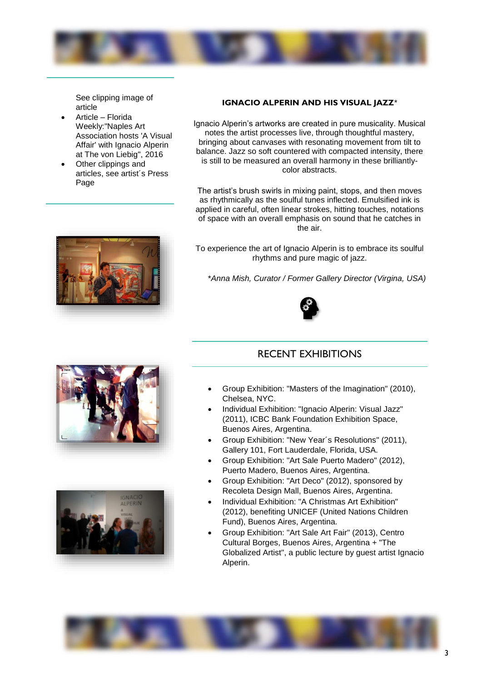

See clipping image of article

- Article Florida Weekly:"Naples Art Association hosts 'A Visual Affair' with Ignacio Alperin at The von Liebig", 2016
- Other clippings and articles, see artist´s Press Page



## **IGNACIO ALPERIN AND HIS VISUAL JAZZ**\*

Ignacio Alperin's artworks are created in pure musicality. Musical notes the artist processes live, through thoughtful mastery, bringing about canvases with resonating movement from tilt to balance. Jazz so soft countered with compacted intensity, there is still to be measured an overall harmony in these brilliantlycolor abstracts.

The artist's brush swirls in mixing paint, stops, and then moves as rhythmically as the soulful tunes inflected. Emulsified ink is applied in careful, often linear strokes, hitting touches, notations of space with an overall emphasis on sound that he catches in the air.

To experience the art of Ignacio Alperin is to embrace its soulful rhythms and pure magic of jazz.

\**Anna Mish, Curator / Former Gallery Director (Virgina, USA)*



# RECENT EXHIBITIONS

- Group Exhibition: "Masters of the Imagination" (2010), Chelsea, NYC.
- Individual Exhibition: "Ignacio Alperin: Visual Jazz" (2011), ICBC Bank Foundation Exhibition Space, Buenos Aires, Argentina.
- Group Exhibition: "New Year´s Resolutions" (2011), Gallery 101, Fort Lauderdale, Florida, USA.
- Group Exhibition: "Art Sale Puerto Madero" (2012), Puerto Madero, Buenos Aires, Argentina.
- Group Exhibition: "Art Deco" (2012), sponsored by Recoleta Design Mall, Buenos Aires, Argentina.
- Individual Exhibition: "A Christmas Art Exhibition" (2012), benefiting UNICEF (United Nations Children Fund), Buenos Aires, Argentina.
- Group Exhibition: "Art Sale Art Fair" (2013), Centro Cultural Borges, Buenos Aires, Argentina + "The Globalized Artist", a public lecture by guest artist Ignacio Alperin.





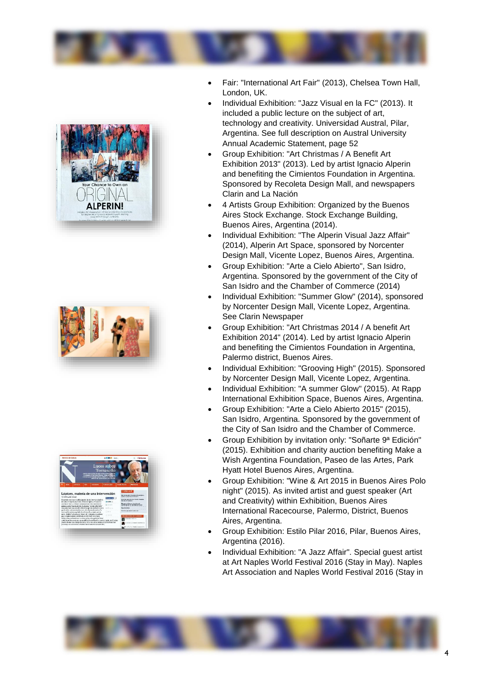







- Fair: "International Art Fair" (2013), Chelsea Town Hall, London, UK.
- Individual Exhibition: "Jazz Visual en la FC" (2013). It included a public lecture on the subject of art, technology and creativity. Universidad Austral, Pilar, Argentina. See full description on Austral University Annual Academic Statement, page 52
- Group Exhibition: "Art Christmas / A Benefit Art Exhibition 2013" (2013). Led by artist Ignacio Alperin and benefiting the Cimientos Foundation in Argentina. Sponsored by Recoleta Design Mall, and newspapers Clarin and La Nación
- 4 Artists Group Exhibition: Organized by the Buenos Aires Stock Exchange. Stock Exchange Building, Buenos Aires, Argentina (2014).
- Individual Exhibition: "The Alperin Visual Jazz Affair" (2014), Alperin Art Space, sponsored by Norcenter Design Mall, Vicente Lopez, Buenos Aires, Argentina.
- Group Exhibition: "Arte a Cielo Abierto", San Isidro, Argentina. Sponsored by the government of the City of San Isidro and the Chamber of Commerce (2014)
- Individual Exhibition: "Summer Glow" (2014), sponsored by Norcenter Design Mall, Vicente Lopez, Argentina. See Clarin Newspaper
- Group Exhibition: "Art Christmas 2014 / A benefit Art Exhibition 2014" (2014). Led by artist Ignacio Alperin and benefiting the Cimientos Foundation in Argentina, Palermo district, Buenos Aires.
- Individual Exhibition: "Grooving High" (2015). Sponsored by Norcenter Design Mall, Vicente Lopez, Argentina.
- Individual Exhibition: "A summer Glow" (2015). At Rapp International Exhibition Space, Buenos Aires, Argentina.
- Group Exhibition: "Arte a Cielo Abierto 2015" (2015), San Isidro, Argentina. Sponsored by the government of the City of San Isidro and the Chamber of Commerce.
- Group Exhibition by invitation only: "Soñarte 9ª Edición" (2015). Exhibition and charity auction benefiting Make a Wish Argentina Foundation, Paseo de las Artes, Park Hyatt Hotel Buenos Aires, Argentina.
- Group Exhibition: "Wine & Art 2015 in Buenos Aires Polo night" (2015). As invited artist and guest speaker (Art and Creativity) within Exhibition, Buenos Aires International Racecourse, Palermo, District, Buenos Aires, Argentina.
- Group Exhibition: Estilo Pilar 2016, Pilar, Buenos Aires, Argentina (2016).
- Individual Exhibition: "A Jazz Affair". Special guest artist at Art Naples World Festival 2016 (Stay in May). Naples Art Association and Naples World Festival 2016 (Stay in

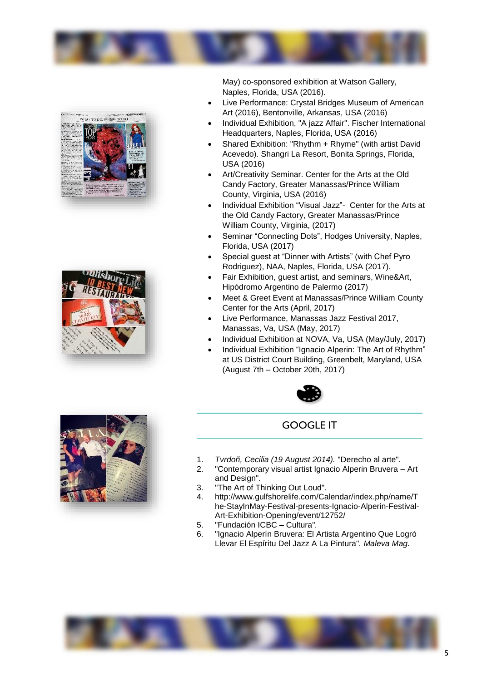





May) co-sponsored exhibition at Watson Gallery, Naples, Florida, USA (2016).

- Live Performance: Crystal Bridges Museum of American Art (2016), Bentonville, Arkansas, USA (2016)
- Individual Exhibition, "A jazz Affair". Fischer International Headquarters, Naples, Florida, USA (2016)
- Shared Exhibition: "Rhythm + Rhyme" (with artist David Acevedo). Shangri La Resort, Bonita Springs, Florida, USA (2016)
- Art/Creativity Seminar. Center for the Arts at the Old Candy Factory, Greater Manassas/Prince William County, Virginia, USA (2016)
- Individual Exhibition "Visual Jazz"- Center for the Arts at the Old Candy Factory, Greater Manassas/Prince William County, Virginia, (2017)
- Seminar "Connecting Dots", Hodges University, Naples, Florida, USA (2017)
- Special guest at "Dinner with Artists" (with Chef Pyro Rodriguez), NAA, Naples, Florida, USA (2017).
- Fair Exhibition, guest artist, and seminars, Wine&Art, Hipódromo Argentino de Palermo (2017)
- Meet & Greet Event at Manassas/Prince William County Center for the Arts (April, 2017)
- Live Performance, Manassas Jazz Festival 2017, Manassas, Va, USA (May, 2017)
- Individual Exhibition at NOVA, Va, USA (May/July, 2017)
- Individual Exhibition "Ignacio Alperin: The Art of Rhythm" at US District Court Building, Greenbelt, Maryland, USA (August 7th – October 20th, 2017)



# GOOGLE IT

- 1. *Tvrdoñ, Cecilia (19 August 2014).* ["Derecho al arte"](http://www.revistainiciar.com.ar/nota/277/derecho-al-arte/)*.*
- 2. ["Contemporary visual artist Ignacio Alperin Bruvera –](http://www.ignacioalperin.com/) Art [and Design"](http://www.ignacioalperin.com/)*.*
- 3. ["The Art of Thinking Out Loud"](http://www.theartofthinkingoutloud.com/)*.*
- 4. [http://www.gulfshorelife.com/Calendar/index.php/name/T](http://www.gulfshorelife.com/Calendar/index.php/name/The-StayInMay-Festival-presents-Ignacio-Alperin-Festival-Art-Exhibition-Opening/event/12752/) [he-StayInMay-Festival-presents-Ignacio-Alperin-Festival-](http://www.gulfshorelife.com/Calendar/index.php/name/The-StayInMay-Festival-presents-Ignacio-Alperin-Festival-Art-Exhibition-Opening/event/12752/)[Art-Exhibition-Opening/event/12752/](http://www.gulfshorelife.com/Calendar/index.php/name/The-StayInMay-Festival-presents-Ignacio-Alperin-Festival-Art-Exhibition-Opening/event/12752/)
- 5. ["Fundación ICBC –](https://www.fundacionicbc.com.ar/institucional/inst/sec-cultura/index.php?page=muestras/2011/2011-02-jazz-visual) Cultura"*.*
- 6. ["Ignacio Alperín Bruvera: El Artista Argentino Que Logró](http://malevamag.com/ignacio-alperin-bruvera-entrevista-al-artista-argentino-que-llevo-el-jazz-a-la-pintura/)  [Llevar El Espíritu Del Jazz A La](http://malevamag.com/ignacio-alperin-bruvera-entrevista-al-artista-argentino-que-llevo-el-jazz-a-la-pintura/) Pintura"*. Maleva Mag.*

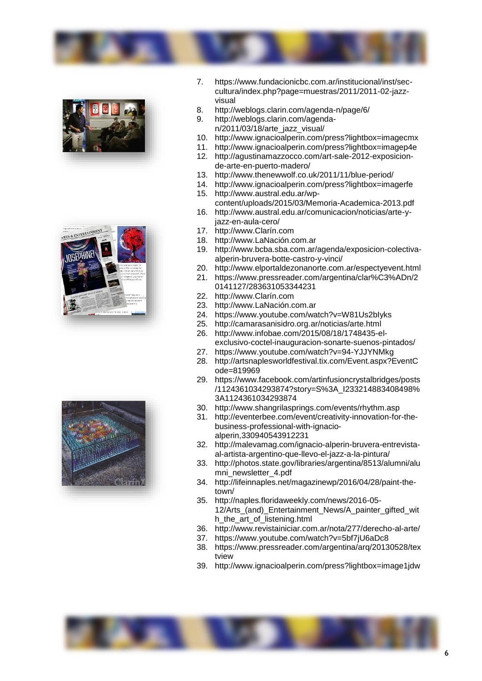







- 7. [https://www.fundacionicbc.com.ar/institucional/inst/sec](https://www.fundacionicbc.com.ar/institucional/inst/sec-cultura/index.php?page=muestras/2011/2011-02-jazz-visual)[cultura/index.php?page=muestras/2011/2011-02-jazz](https://www.fundacionicbc.com.ar/institucional/inst/sec-cultura/index.php?page=muestras/2011/2011-02-jazz-visual)[visual](https://www.fundacionicbc.com.ar/institucional/inst/sec-cultura/index.php?page=muestras/2011/2011-02-jazz-visual)
- 8. <http://weblogs.clarin.com/agenda-n/page/6/>
- 9. [http://weblogs.clarin.com/agenda](http://weblogs.clarin.com/agenda-n/2011/03/18/arte_jazz_visual/)[n/2011/03/18/arte\\_jazz\\_visual/](http://weblogs.clarin.com/agenda-n/2011/03/18/arte_jazz_visual/)
- 10. <http://www.ignacioalperin.com/press?lightbox=imagecmx>
- 11. <http://www.ignacioalperin.com/press?lightbox=imagep4e>
- 12. [http://agustinamazzocco.com/art-sale-2012-exposicion](http://agustinamazzocco.com/art-sale-2012-exposicion-de-arte-en-puerto-madero/)[de-arte-en-puerto-madero/](http://agustinamazzocco.com/art-sale-2012-exposicion-de-arte-en-puerto-madero/)
- 13. <http://www.thenewwolf.co.uk/2011/11/blue-period/>
- 14. <http://www.ignacioalperin.com/press?lightbox=imagerfe> 15. [http://www.austral.edu.ar/wp-](http://www.austral.edu.ar/wp-content/uploads/2015/03/Memoria-Academica-2013.pdf)
- [content/uploads/2015/03/Memoria-Academica-2013.pdf](http://www.austral.edu.ar/wp-content/uploads/2015/03/Memoria-Academica-2013.pdf) 16. [http://www.austral.edu.ar/comunicacion/noticias/arte-y-](http://www.austral.edu.ar/comunicacion/noticias/arte-y-jazz-en-aula-cero/)
- [jazz-en-aula-cero/](http://www.austral.edu.ar/comunicacion/noticias/arte-y-jazz-en-aula-cero/)
- 17. [http://www.Clarín.com](http://www.clarín.com/)
- 18. [http://www.LaNación.com.ar](http://www.lanación.com.ar/)
- 19. [http://www.bcba.sba.com.ar/agenda/exposicion-colectiva](http://www.bcba.sba.com.ar/agenda/exposicion-colectiva-alperin-bruvera-botte-castro-y-vinci/)[alperin-bruvera-botte-castro-y-vinci/](http://www.bcba.sba.com.ar/agenda/exposicion-colectiva-alperin-bruvera-botte-castro-y-vinci/)
- 20. <http://www.elportaldezonanorte.com.ar/espectyevent.html>
- 21. [https://www.pressreader.com/argentina/clar%C3%ADn/2](https://www.pressreader.com/argentina/clar%C3%ADn/20141127/283631053344231) [0141127/283631053344231](https://www.pressreader.com/argentina/clar%C3%ADn/20141127/283631053344231)
- 22. [http://www.Clarín.com](http://www.clarín.com/)
- 23. [http://www.LaNación.com.ar](http://www.lanación.com.ar/)
- 24. <https://www.youtube.com/watch?v=W81Us2bIyks>
- 25. <http://camarasanisidro.org.ar/noticias/arte.html>
- 26. [http://www.infobae.com/2015/08/18/1748435-el](http://www.infobae.com/2015/08/18/1748435-el-exclusivo-coctel-inauguracion-sonarte-suenos-pintados/)[exclusivo-coctel-inauguracion-sonarte-suenos-pintados/](http://www.infobae.com/2015/08/18/1748435-el-exclusivo-coctel-inauguracion-sonarte-suenos-pintados/)
- 27. <https://www.youtube.com/watch?v=94-YJJYNMkg>
- 28. [http://artsnaplesworldfestival.tix.com/Event.aspx?EventC](http://artsnaplesworldfestival.tix.com/Event.aspx?EventCode=819969) [ode=819969](http://artsnaplesworldfestival.tix.com/Event.aspx?EventCode=819969)
- 29. [https://www.facebook.com/artinfusioncrystalbridges/posts](https://www.facebook.com/artinfusioncrystalbridges/posts/1124361034293874?story=S%3A_I233214883408498%3A1124361034293874) [/1124361034293874?story=S%3A\\_I233214883408498%](https://www.facebook.com/artinfusioncrystalbridges/posts/1124361034293874?story=S%3A_I233214883408498%3A1124361034293874) [3A1124361034293874](https://www.facebook.com/artinfusioncrystalbridges/posts/1124361034293874?story=S%3A_I233214883408498%3A1124361034293874)
- 30. <http://www.shangrilasprings.com/events/rhythm.asp>
- 31. [http://eventerbee.com/event/creativity-innovation-for-the](http://eventerbee.com/event/creativity-innovation-for-the-business-professional-with-ignacio-alperin,330940543912231)[business-professional-with-ignacio](http://eventerbee.com/event/creativity-innovation-for-the-business-professional-with-ignacio-alperin,330940543912231)[alperin,330940543912231](http://eventerbee.com/event/creativity-innovation-for-the-business-professional-with-ignacio-alperin,330940543912231)
- 32. [http://malevamag.com/ignacio-alperin-bruvera-entrevista](http://malevamag.com/ignacio-alperin-bruvera-entrevista-al-artista-argentino-que-llevo-el-jazz-a-la-pintura/)[al-artista-argentino-que-llevo-el-jazz-a-la-pintura/](http://malevamag.com/ignacio-alperin-bruvera-entrevista-al-artista-argentino-que-llevo-el-jazz-a-la-pintura/)
- 33. [http://photos.state.gov/libraries/argentina/8513/alumni/alu](http://photos.state.gov/libraries/argentina/8513/alumni/alumni_newsletter_4.pdf) [mni\\_newsletter\\_4.pdf](http://photos.state.gov/libraries/argentina/8513/alumni/alumni_newsletter_4.pdf)
- 34. [http://lifeinnaples.net/magazinewp/2016/04/28/paint-the](http://lifeinnaples.net/magazinewp/2016/04/28/paint-the-town/)[town/](http://lifeinnaples.net/magazinewp/2016/04/28/paint-the-town/)
- 35. [http://naples.floridaweekly.com/news/2016-05-](http://naples.floridaweekly.com/news/2016-05-12/Arts_(and)_Entertainment_News/A_painter_gifted_with_the_art_of_listening.html) [12/Arts\\_\(and\)\\_Entertainment\\_News/A\\_painter\\_gifted\\_wit](http://naples.floridaweekly.com/news/2016-05-12/Arts_(and)_Entertainment_News/A_painter_gifted_with_the_art_of_listening.html) [h\\_the\\_art\\_of\\_listening.html](http://naples.floridaweekly.com/news/2016-05-12/Arts_(and)_Entertainment_News/A_painter_gifted_with_the_art_of_listening.html)
- 36. <http://www.revistainiciar.com.ar/nota/277/derecho-al-arte/>
- 37. <https://www.youtube.com/watch?v=5bf7jU6aDc8>
- 38. [https://www.pressreader.com/argentina/arq/20130528/tex](https://www.pressreader.com/argentina/arq/20130528/textview) [tview](https://www.pressreader.com/argentina/arq/20130528/textview)
- 39. <http://www.ignacioalperin.com/press?lightbox=image1jdw>